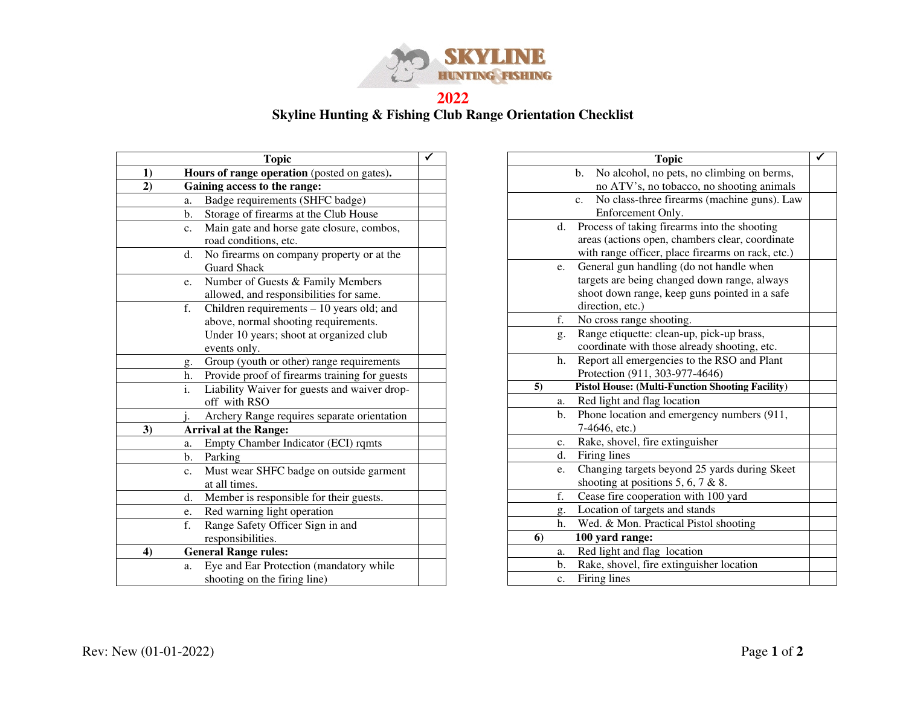

**2022 Skyline Hunting & Fishing Club Range Orientation Checklist** 

|                  |                | <b>Topic</b>                                  |  |
|------------------|----------------|-----------------------------------------------|--|
| 1)               |                | Hours of range operation (posted on gates).   |  |
| $\overline{2}$   |                | Gaining access to the range:                  |  |
|                  | a.             | Badge requirements (SHFC badge)               |  |
|                  | b.             | Storage of firearms at the Club House         |  |
|                  | $\mathbf{c}$ . | Main gate and horse gate closure, combos,     |  |
|                  |                | road conditions, etc.                         |  |
|                  | d.             | No firearms on company property or at the     |  |
|                  |                | <b>Guard Shack</b>                            |  |
|                  | e.             | Number of Guests & Family Members             |  |
|                  |                | allowed, and responsibilities for same.       |  |
|                  | f.             | Children requirements - 10 years old; and     |  |
|                  |                | above, normal shooting requirements.          |  |
|                  |                | Under 10 years; shoot at organized club       |  |
|                  |                | events only.                                  |  |
|                  | g.             | Group (youth or other) range requirements     |  |
|                  | h.             | Provide proof of firearms training for guests |  |
|                  | i.             | Liability Waiver for guests and waiver drop-  |  |
|                  |                | off with RSO                                  |  |
|                  | i.             | Archery Range requires separate orientation   |  |
| 3)               |                | <b>Arrival at the Range:</b>                  |  |
|                  | a.             | Empty Chamber Indicator (ECI) rqmts           |  |
|                  | b.             | Parking                                       |  |
|                  | $\mathbf{c}$ . | Must wear SHFC badge on outside garment       |  |
|                  |                | at all times.                                 |  |
|                  | d.             | Member is responsible for their guests.       |  |
|                  | e.             | Red warning light operation                   |  |
|                  | f.             | Range Safety Officer Sign in and              |  |
|                  |                | responsibilities.                             |  |
| $\boldsymbol{4}$ |                | <b>General Range rules:</b>                   |  |
|                  | a.             | Eye and Ear Protection (mandatory while       |  |
|                  |                | shooting on the firing line)                  |  |

|    |                | <b>Topic</b>                                            |  |
|----|----------------|---------------------------------------------------------|--|
|    |                | b.<br>No alcohol, no pets, no climbing on berms,        |  |
|    |                | no ATV's, no tobacco, no shooting animals               |  |
|    |                | No class-three firearms (machine guns). Law<br>c.       |  |
|    |                | Enforcement Only.                                       |  |
|    | d.             | Process of taking firearms into the shooting            |  |
|    |                | areas (actions open, chambers clear, coordinate         |  |
|    |                | with range officer, place firearms on rack, etc.)       |  |
|    | e.             | General gun handling (do not handle when                |  |
|    |                | targets are being changed down range, always            |  |
|    |                | shoot down range, keep guns pointed in a safe           |  |
|    |                | direction, etc.)                                        |  |
|    | f.             | No cross range shooting.                                |  |
|    | g.             | Range etiquette: clean-up, pick-up brass,               |  |
|    |                | coordinate with those already shooting, etc.            |  |
|    | h.             | Report all emergencies to the RSO and Plant             |  |
|    |                | Protection (911, 303-977-4646)                          |  |
| 5) |                | <b>Pistol House: (Multi-Function Shooting Facility)</b> |  |
|    | a.             | Red light and flag location                             |  |
|    | $\mathbf b$ .  | Phone location and emergency numbers (911,              |  |
|    |                | 7-4646, etc.)                                           |  |
|    | c.             | Rake, shovel, fire extinguisher                         |  |
|    | d.             | Firing lines                                            |  |
|    | e.             | Changing targets beyond 25 yards during Skeet           |  |
|    |                | shooting at positions 5, 6, 7 & 8.                      |  |
|    | f.             | Cease fire cooperation with 100 yard                    |  |
|    | g.             | Location of targets and stands                          |  |
|    | h.             | Wed. & Mon. Practical Pistol shooting                   |  |
| 6) |                | 100 yard range:                                         |  |
|    | a.             | Red light and flag location                             |  |
|    | b.             | Rake, shovel, fire extinguisher location                |  |
|    | $\mathbf{c}$ . | Firing lines                                            |  |